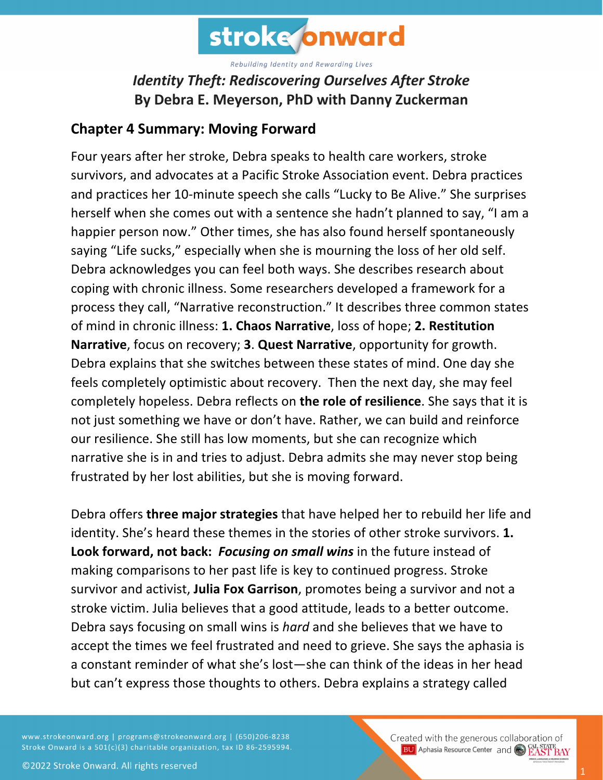

## *Identity Theft: Rediscovering Ourselves After Stroke* **By Debra E. Meyerson, PhD with Danny Zuckerman**

## **Chapter 4 Summary: Moving Forward**

Four years after her stroke, Debra speaks to health care workers, stroke survivors, and advocates at a Pacific Stroke Association event. Debra practices and practices her 10-minute speech she calls "Lucky to Be Alive." She surprises herself when she comes out with a sentence she hadn't planned to say, "I am a happier person now." Other times, she has also found herself spontaneously saying "Life sucks," especially when she is mourning the loss of her old self. Debra acknowledges you can feel both ways. She describes research about coping with chronic illness. Some researchers developed a framework for a process they call, "Narrative reconstruction." It describes three common states of mind in chronic illness: **1. Chaos Narrative**, loss of hope; **2. Restitution Narrative**, focus on recovery; **3**. **Quest Narrative**, opportunity for growth. Debra explains that she switches between these states of mind. One day she feels completely optimistic about recovery. Then the next day, she may feel completely hopeless. Debra reflects on **the role of resilience**. She says that it is not just something we have or don't have. Rather, we can build and reinforce our resilience. She still has low moments, but she can recognize which narrative she is in and tries to adjust. Debra admits she may never stop being frustrated by her lost abilities, but she is moving forward.

Debra offers **three major strategies** that have helped her to rebuild her life and identity. She's heard these themes in the stories of other stroke survivors. **1. Look forward, not back:** *Focusing on small wins* in the future instead of making comparisons to her past life is key to continued progress. Stroke survivor and activist, **Julia Fox Garrison**, promotes being a survivor and not a stroke victim. Julia believes that a good attitude, leads to a better outcome. Debra says focusing on small wins is *hard* and she believes that we have to accept the times we feel frustrated and need to grieve. She says the aphasia is a constant reminder of what she's lost—she can think of the ideas in her head but can't express those thoughts to others. Debra explains a strategy called

www.strokeonward.org | programs@strokeonward.org | (650)206-8238 Stroke Onward is a 501(c)(3) charitable organization, tax ID 86-2595994.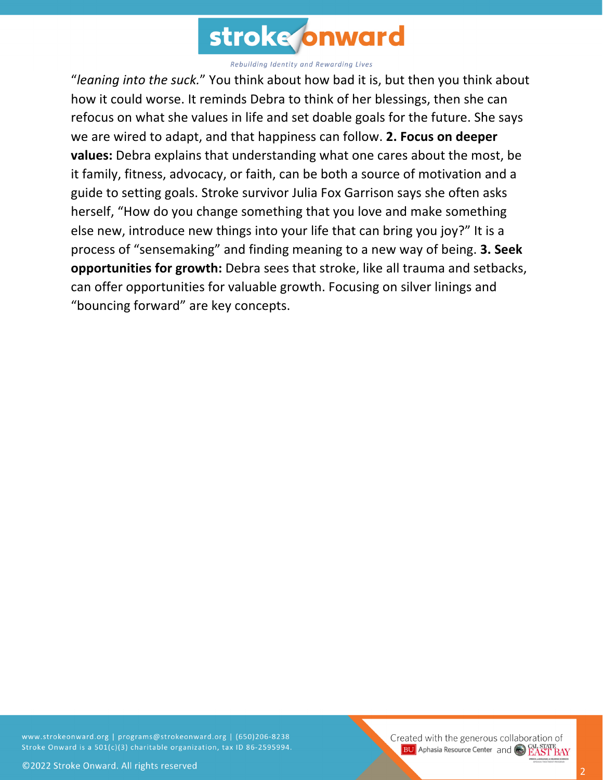

"*leaning into the suck.*" You think about how bad it is, but then you think about how it could worse. It reminds Debra to think of her blessings, then she can refocus on what she values in life and set doable goals for the future. She says we are wired to adapt, and that happiness can follow. **2. Focus on deeper values:** Debra explains that understanding what one cares about the most, be it family, fitness, advocacy, or faith, can be both a source of motivation and a guide to setting goals. Stroke survivor Julia Fox Garrison says she often asks herself, "How do you change something that you love and make something else new, introduce new things into your life that can bring you joy?" It is a process of "sensemaking" and finding meaning to a new way of being. **3. Seek opportunities for growth:** Debra sees that stroke, like all trauma and setbacks, can offer opportunities for valuable growth. Focusing on silver linings and "bouncing forward" are key concepts.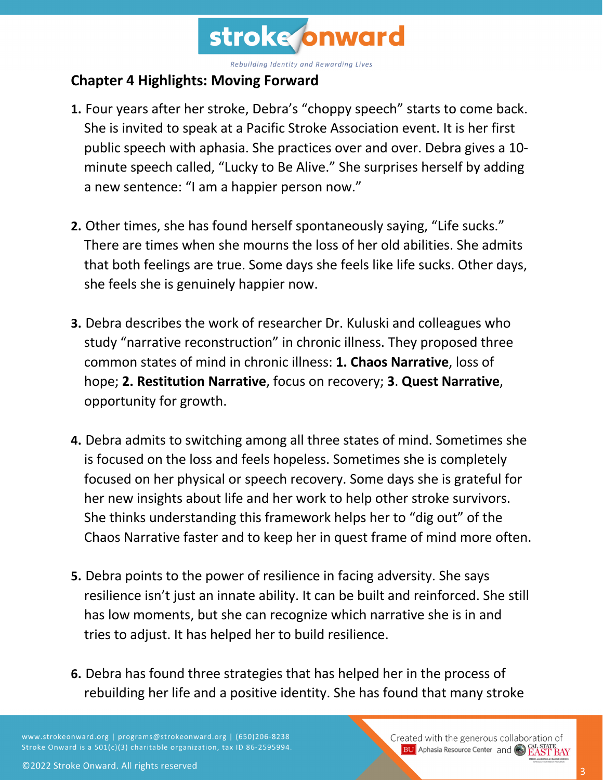

## **Chapter 4 Highlights: Moving Forward**

- **1.** Four years after her stroke, Debra's "choppy speech" starts to come back. She is invited to speak at a Pacific Stroke Association event. It is her first public speech with aphasia. She practices over and over. Debra gives a 10 minute speech called, "Lucky to Be Alive." She surprises herself by adding a new sentence: "I am a happier person now."
- **2.** Other times, she has found herself spontaneously saying, "Life sucks." There are times when she mourns the loss of her old abilities. She admits that both feelings are true. Some days she feels like life sucks. Other days, she feels she is genuinely happier now.
- **3.** Debra describes the work of researcher Dr. Kuluski and colleagues who study "narrative reconstruction" in chronic illness. They proposed three common states of mind in chronic illness: **1. Chaos Narrative**, loss of hope; **2. Restitution Narrative**, focus on recovery; **3**. **Quest Narrative**, opportunity for growth.
- **4.** Debra admits to switching among all three states of mind. Sometimes she is focused on the loss and feels hopeless. Sometimes she is completely focused on her physical or speech recovery. Some days she is grateful for her new insights about life and her work to help other stroke survivors. She thinks understanding this framework helps her to "dig out" of the Chaos Narrative faster and to keep her in quest frame of mind more often.
- **5.** Debra points to the power of resilience in facing adversity. She says resilience isn't just an innate ability. It can be built and reinforced. She still has low moments, but she can recognize which narrative she is in and tries to adjust. It has helped her to build resilience.
- **6.** Debra has found three strategies that has helped her in the process of rebuilding her life and a positive identity. She has found that many stroke

www.strokeonward.org | programs@strokeonward.org | (650)206-8238 Stroke Onward is a 501(c)(3) charitable organization, tax ID 86-2595994. Created with the generous collaboration of **BU** Aphasia Resource Center and CO **EAST BAY**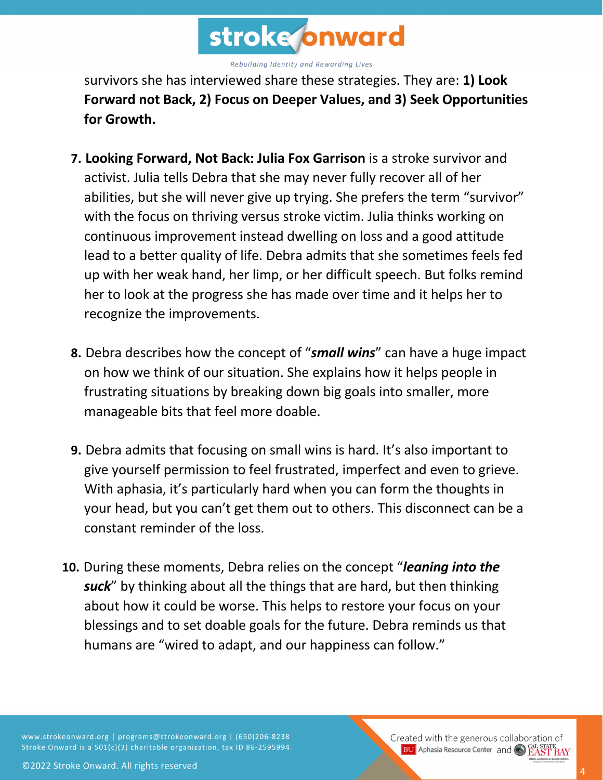

survivors she has interviewed share these strategies. They are: **1) Look Forward not Back, 2) Focus on Deeper Values, and 3) Seek Opportunities for Growth.**

- **7. Looking Forward, Not Back: Julia Fox Garrison** is a stroke survivor and activist. Julia tells Debra that she may never fully recover all of her abilities, but she will never give up trying. She prefers the term "survivor" with the focus on thriving versus stroke victim. Julia thinks working on continuous improvement instead dwelling on loss and a good attitude lead to a better quality of life. Debra admits that she sometimes feels fed up with her weak hand, her limp, or her difficult speech. But folks remind her to look at the progress she has made over time and it helps her to recognize the improvements.
- **8.** Debra describes how the concept of "*small wins*" can have a huge impact on how we think of our situation. She explains how it helps people in frustrating situations by breaking down big goals into smaller, more manageable bits that feel more doable.
- **9.** Debra admits that focusing on small wins is hard. It's also important to give yourself permission to feel frustrated, imperfect and even to grieve. With aphasia, it's particularly hard when you can form the thoughts in your head, but you can't get them out to others. This disconnect can be a constant reminder of the loss.
- **10.** During these moments, Debra relies on the concept "*leaning into the suck*" by thinking about all the things that are hard, but then thinking about how it could be worse. This helps to restore your focus on your blessings and to set doable goals for the future. Debra reminds us that humans are "wired to adapt, and our happiness can follow."

4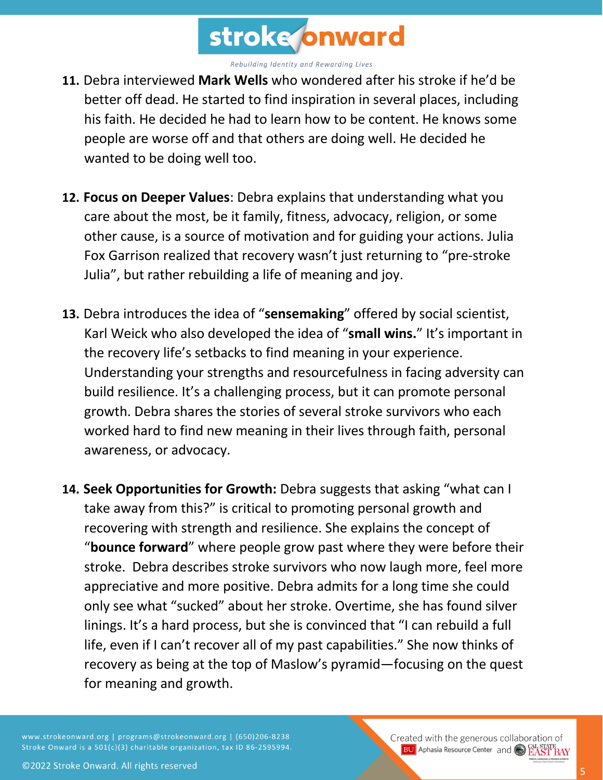

- **11.** Debra interviewed **Mark Wells** who wondered after his stroke if he'd be better off dead. He started to find inspiration in several places, including his faith. He decided he had to learn how to be content. He knows some people are worse off and that others are doing well. He decided he wanted to be doing well too.
- **12. Focus on Deeper Values**: Debra explains that understanding what you care about the most, be it family, fitness, advocacy, religion, or some other cause, is a source of motivation and for guiding your actions. Julia Fox Garrison realized that recovery wasn't just returning to "pre-stroke Julia", but rather rebuilding a life of meaning and joy.
- **13.** Debra introduces the idea of "**sensemaking**" offered by social scientist, Karl Weick who also developed the idea of "**small wins.**" It's important in the recovery life's setbacks to find meaning in your experience. Understanding your strengths and resourcefulness in facing adversity can build resilience. It's a challenging process, but it can promote personal growth. Debra shares the stories of several stroke survivors who each worked hard to find new meaning in their lives through faith, personal awareness, or advocacy.
- **14. Seek Opportunities for Growth:** Debra suggests that asking "what can I take away from this?" is critical to promoting personal growth and recovering with strength and resilience. She explains the concept of "**bounce forward**" where people grow past where they were before their stroke. Debra describes stroke survivors who now laugh more, feel more appreciative and more positive. Debra admits for a long time she could only see what "sucked" about her stroke. Overtime, she has found silver linings. It's a hard process, but she is convinced that "I can rebuild a full life, even if I can't recover all of my past capabilities." She now thinks of recovery as being at the top of Maslow's pyramid—focusing on the quest for meaning and growth.

www.strokeonward.org | programs@strokeonward.org | (650)206-8238 Stroke Onward is a 501(c)(3) charitable organization, tax ID 86-2595994.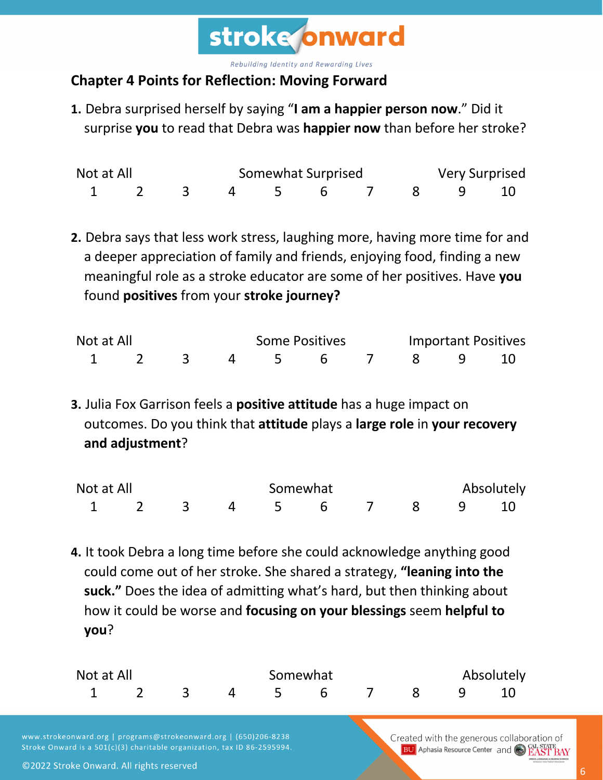

## **Chapter 4 Points for Reflection: Moving Forward**

**1.** Debra surprised herself by saying "**I am a happier person now**." Did it surprise **you** to read that Debra was **happier now** than before her stroke?

| Not at All |  |  | Somewhat Surprised   |  | <b>Very Surprised</b> |  |
|------------|--|--|----------------------|--|-----------------------|--|
|            |  |  | 1 2 3 4 5 6 7 8 9 10 |  |                       |  |

**2.** Debra says that less work stress, laughing more, having more time for and a deeper appreciation of family and friends, enjoying food, finding a new meaningful role as a stroke educator are some of her positives. Have **you** found **positives** from your **stroke journey?**

| Not at All |  |  | <b>Some Positives</b> |                    |  |  | <b>Important Positives</b> |  |  |
|------------|--|--|-----------------------|--------------------|--|--|----------------------------|--|--|
|            |  |  |                       | 2 3 4 5 6 7 8 9 10 |  |  |                            |  |  |

**3.** Julia Fox Garrison feels a **positive attitude** has a huge impact on outcomes. Do you think that **attitude** plays a **large role** in **your recovery and adjustment**?

| Not at All |  |  | Somewhat |             |  |  | Absolutely |  |  |  |
|------------|--|--|----------|-------------|--|--|------------|--|--|--|
|            |  |  |          | 4 5 6 7 8 9 |  |  |            |  |  |  |

**4.** It took Debra a long time before she could acknowledge anything good could come out of her stroke. She shared a strategy, **"leaning into the suck."** Does the idea of admitting what's hard, but then thinking about how it could be worse and **focusing on your blessings** seem **helpful to you**?

| Not at All           |  |  |  | Somewhat | Absolutely |  |  |  |
|----------------------|--|--|--|----------|------------|--|--|--|
| 1 2 3 4 5 6 7 8 9 10 |  |  |  |          |            |  |  |  |

www.strokeonward.org | programs@strokeonward.org | (650)206-8238 Stroke Onward is a 501(c)(3) charitable organization, tax ID 86-2595994. Created with the generous collaboration of **BU** Aphasia Resource Center and CAL STATE BAY